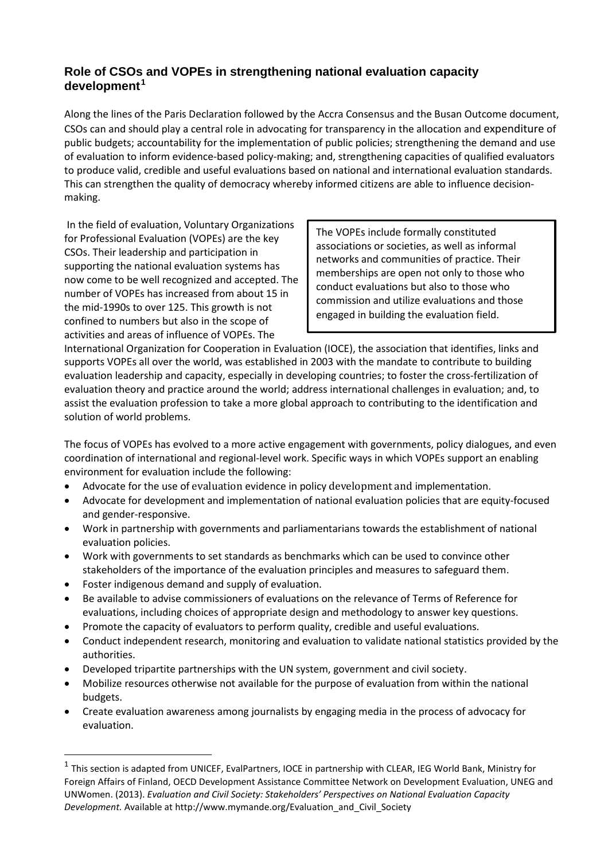## **Role of CSOs and VOPEs in strengthening national evaluation capacity development<sup>1</sup>**

Along the lines of the Paris Declaration followed by the Accra Consensus and the Busan Outcome document, CSOs can and should play a central role in advocating for transparency in the allocation and expenditure of public budgets; accountability for the implementation of public policies; strengthening the demand and use of evaluation to inform evidence-based policy-making; and, strengthening capacities of qualified evaluators to produce valid, credible and useful evaluations based on national and international evaluation standards. This can strengthen the quality of democracy whereby informed citizens are able to influence decisionmaking.

In the field of evaluation, Voluntary Organizations for Professional Evaluation (VOPEs) are the key CSOs. Their leadership and participation in supporting the national evaluation systems has now come to be well recognized and accepted. The number of VOPEs has increased from about 15 in the mid-1990s to over 125. This growth is not confined to numbers but also in the scope of activities and areas of influence of VOPEs. The

The VOPEs include formally constituted associations or societies, as well as informal networks and communities of practice. Their memberships are open not only to those who conduct evaluations but also to those who commission and utilize evaluations and those engaged in building the evaluation field.

International Organization for Cooperation in Evaluation (IOCE), the association that identifies, links and supports VOPEs all over the world, was established in 2003 with the mandate to contribute to building evaluation leadership and capacity, especially in developing countries; to foster the cross-fertilization of evaluation theory and practice around the world; address international challenges in evaluation; and, to assist the evaluation profession to take a more global approach to contributing to the identification and solution of world problems.

The focus of VOPEs has evolved to a more active engagement with governments, policy dialogues, and even coordination of international and regional-level work. Specific ways in which VOPEs support an enabling environment for evaluation include the following:

- Advocate for the use of evaluation evidence in policy development and implementation.
- Advocate for development and implementation of national evaluation policies that are equity-focused and gender-responsive.
- Work in partnership with governments and parliamentarians towards the establishment of national evaluation policies.
- Work with governments to set standards as benchmarks which can be used to convince other stakeholders of the importance of the evaluation principles and measures to safeguard them.
- Foster indigenous demand and supply of evaluation.
- Be available to advise commissioners of evaluations on the relevance of Terms of Reference for evaluations, including choices of appropriate design and methodology to answer key questions.
- Promote the capacity of evaluators to perform quality, credible and useful evaluations.
- Conduct independent research, monitoring and evaluation to validate national statistics provided by the authorities.
- Developed tripartite partnerships with the UN system, government and civil society.
- Mobilize resources otherwise not available for the purpose of evaluation from within the national budgets.
- Create evaluation awareness among journalists by engaging media in the process of advocacy for evaluation.

 $1$  This section is adapted from UNICEF, EvalPartners, IOCE in partnership with CLEAR, IEG World Bank, Ministry for Foreign Affairs of Finland, OECD Development Assistance Committee Network on Development Evaluation, UNEG and UNWomen. (2013). *Evaluation and Civil Society: Stakeholders' Perspectives on National Evaluation Capacity Development.* Available at http://www.mymande.org/Evaluation\_and\_Civil\_Society